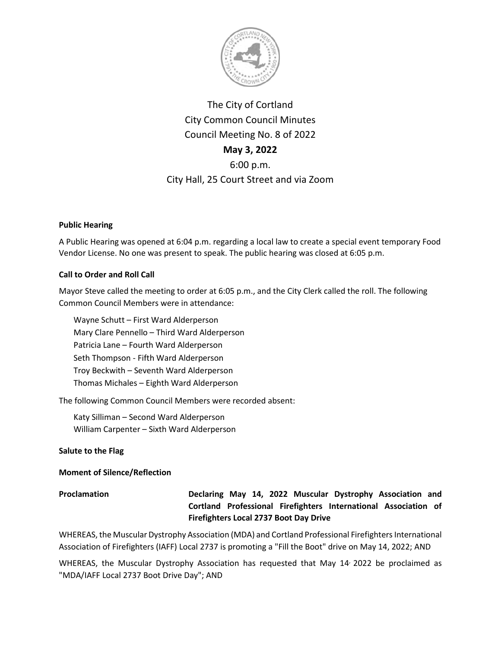

# The City of Cortland City Common Council Minutes Council Meeting No. 8 of 2022 **May 3, 2022** 6:00 p.m. City Hall, 25 Court Street and via Zoom

# **Public Hearing**

A Public Hearing was opened at 6:04 p.m. regarding a local law to create a special event temporary Food Vendor License. No one was present to speak. The public hearing was closed at 6:05 p.m.

# **Call to Order and Roll Call**

Mayor Steve called the meeting to order at 6:05 p.m., and the City Clerk called the roll. The following Common Council Members were in attendance:

Wayne Schutt – First Ward Alderperson Mary Clare Pennello – Third Ward Alderperson Patricia Lane – Fourth Ward Alderperson Seth Thompson - Fifth Ward Alderperson Troy Beckwith – Seventh Ward Alderperson Thomas Michales – Eighth Ward Alderperson

The following Common Council Members were recorded absent:

Katy Silliman – Second Ward Alderperson William Carpenter – Sixth Ward Alderperson

# **Salute to the Flag**

# **Moment of Silence/Reflection**

**Proclamation Declaring May 14, 2022 Muscular Dystrophy Association and Cortland Professional Firefighters International Association of Firefighters Local 2737 Boot Day Drive**

WHEREAS, the Muscular Dystrophy Association (MDA) and Cortland Professional Firefighters International Association of Firefighters (IAFF) Local 2737 is promoting a "Fill the Boot" drive on May 14, 2022; AND

WHEREAS, the Muscular Dystrophy Association has requested that May 14 2022 be proclaimed as "MDA/IAFF Local 2737 Boot Drive Day"; AND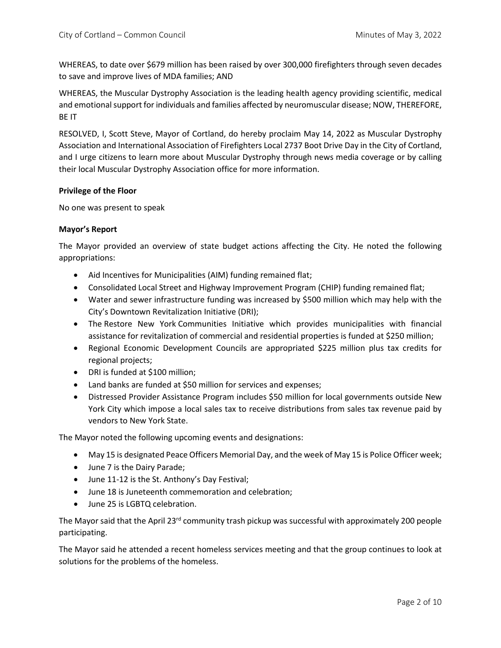WHEREAS, to date over \$679 million has been raised by over 300,000 firefighters through seven decades to save and improve lives of MDA families; AND

WHEREAS, the Muscular Dystrophy Association is the leading health agency providing scientific, medical and emotional support for individuals and families affected by neuromuscular disease; NOW, THEREFORE, BE IT

RESOLVED, I, Scott Steve, Mayor of Cortland, do hereby proclaim May 14, 2022 as Muscular Dystrophy Association and International Association of Firefighters Local 2737 Boot Drive Day in the City of Cortland, and I urge citizens to learn more about Muscular Dystrophy through news media coverage or by calling their local Muscular Dystrophy Association office for more information.

### **Privilege of the Floor**

No one was present to speak

### **Mayor's Report**

The Mayor provided an overview of state budget actions affecting the City. He noted the following appropriations:

- Aid Incentives for Municipalities (AIM) funding remained flat;
- Consolidated Local Street and Highway Improvement Program (CHIP) funding remained flat;
- Water and sewer infrastructure funding was increased by \$500 million which may help with the City's Downtown Revitalization Initiative (DRI);
- The Restore New York Communities Initiative which provides municipalities with financial assistance for revitalization of commercial and residential properties is funded at \$250 million;
- Regional Economic Development Councils are appropriated \$225 million plus tax credits for regional projects;
- DRI is funded at \$100 million;
- Land banks are funded at \$50 million for services and expenses;
- Distressed Provider Assistance Program includes \$50 million for local governments outside New York City which impose a local sales tax to receive distributions from sales tax revenue paid by vendors to New York State.

The Mayor noted the following upcoming events and designations:

- May 15 is designated Peace Officers Memorial Day, and the week of May 15 is Police Officer week;
- June 7 is the Dairy Parade;
- June 11-12 is the St. Anthony's Day Festival;
- June 18 is Juneteenth commemoration and celebration;
- June 25 is LGBTQ celebration.

The Mayor said that the April 23<sup>rd</sup> community trash pickup was successful with approximately 200 people participating.

The Mayor said he attended a recent homeless services meeting and that the group continues to look at solutions for the problems of the homeless.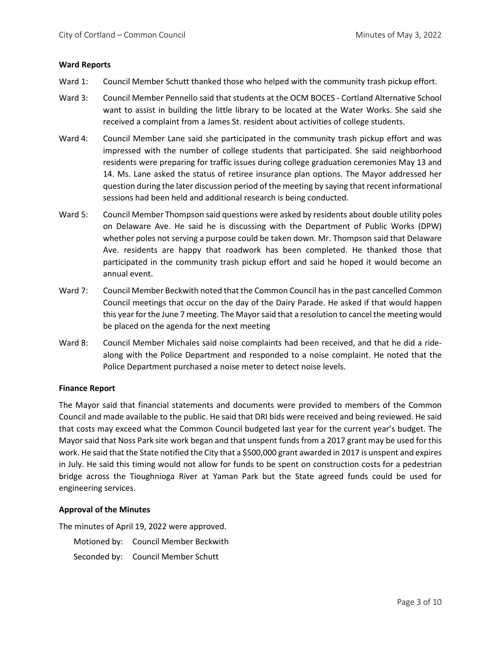#### **Ward Reports**

- Ward 1: Council Member Schutt thanked those who helped with the community trash pickup effort.
- Ward 3: Council Member Pennello said that students at the OCM BOCES Cortland Alternative School want to assist in building the little library to be located at the Water Works. She said she received a complaint from a James St. resident about activities of college students.
- Ward 4: Council Member Lane said she participated in the community trash pickup effort and was impressed with the number of college students that participated. She said neighborhood residents were preparing for traffic issues during college graduation ceremonies May 13 and 14. Ms. Lane asked the status of retiree insurance plan options. The Mayor addressed her question during the later discussion period of the meeting by saying that recent informational sessions had been held and additional research is being conducted.
- Ward 5: Council Member Thompson said questions were asked by residents about double utility poles on Delaware Ave. He said he is discussing with the Department of Public Works (DPW) whether poles not serving a purpose could be taken down. Mr. Thompson said that Delaware Ave. residents are happy that roadwork has been completed. He thanked those that participated in the community trash pickup effort and said he hoped it would become an annual event.
- Ward 7: Council Member Beckwith noted that the Common Council has in the past cancelled Common Council meetings that occur on the day of the Dairy Parade. He asked if that would happen this year for the June 7 meeting. The Mayor said that a resolution to cancel the meeting would be placed on the agenda for the next meeting
- Ward 8: Council Member Michales said noise complaints had been received, and that he did a ridealong with the Police Department and responded to a noise complaint. He noted that the Police Department purchased a noise meter to detect noise levels.

#### **Finance Report**

The Mayor said that financial statements and documents were provided to members of the Common Council and made available to the public. He said that DRI bids were received and being reviewed. He said that costs may exceed what the Common Council budgeted last year for the current year's budget. The Mayor said that Noss Park site work began and that unspent funds from a 2017 grant may be used for this work. He said that the State notified the City that a \$500,000 grant awarded in 2017 is unspent and expires in July. He said this timing would not allow for funds to be spent on construction costs for a pedestrian bridge across the Tioughnioga River at Yaman Park but the State agreed funds could be used for engineering services.

# **Approval of the Minutes**

The minutes of April 19, 2022 were approved.

| Motioned by: Council Member Beckwith |
|--------------------------------------|
| Seconded by: Council Member Schutt   |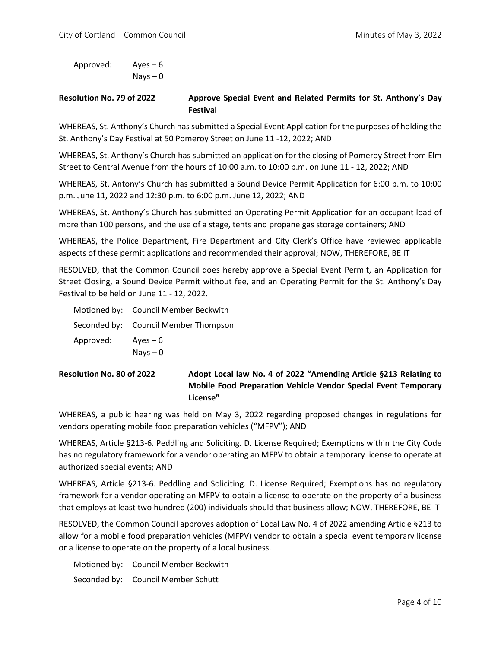Approved: Ayes – 6 Nays – 0

# **Resolution No. 79 of 2022 Approve Special Event and Related Permits for St. Anthony's Day Festival**

WHEREAS, St. Anthony's Church has submitted a Special Event Application for the purposes of holding the St. Anthony's Day Festival at 50 Pomeroy Street on June 11 -12, 2022; AND

WHEREAS, St. Anthony's Church has submitted an application for the closing of Pomeroy Street from Elm Street to Central Avenue from the hours of 10:00 a.m. to 10:00 p.m. on June 11 - 12, 2022; AND

WHEREAS, St. Antony's Church has submitted a Sound Device Permit Application for 6:00 p.m. to 10:00 p.m. June 11, 2022 and 12:30 p.m. to 6:00 p.m. June 12, 2022; AND

WHEREAS, St. Anthony's Church has submitted an Operating Permit Application for an occupant load of more than 100 persons, and the use of a stage, tents and propane gas storage containers; AND

WHEREAS, the Police Department, Fire Department and City Clerk's Office have reviewed applicable aspects of these permit applications and recommended their approval; NOW, THEREFORE, BE IT

RESOLVED, that the Common Council does hereby approve a Special Event Permit, an Application for Street Closing, a Sound Device Permit without fee, and an Operating Permit for the St. Anthony's Day Festival to be held on June 11 - 12, 2022.

|           | Motioned by: Council Member Beckwith |
|-----------|--------------------------------------|
|           | Seconded by: Council Member Thompson |
| Approved: | Ayes $-6$                            |
|           | $Nays - 0$                           |

**Resolution No. 80 of 2022 Adopt Local law No. 4 of 2022 "Amending Article §213 Relating to Mobile Food Preparation Vehicle Vendor Special Event Temporary License"**

WHEREAS, a public hearing was held on May 3, 2022 regarding proposed changes in regulations for vendors operating mobile food preparation vehicles ("MFPV"); AND

WHEREAS, Article §213-6. Peddling and Soliciting. D. License Required; Exemptions within the City Code has no regulatory framework for a vendor operating an MFPV to obtain a temporary license to operate at authorized special events; AND

WHEREAS, Article §213-6. Peddling and Soliciting. D. License Required; Exemptions has no regulatory framework for a vendor operating an MFPV to obtain a license to operate on the property of a business that employs at least two hundred (200) individuals should that business allow; NOW, THEREFORE, BE IT

RESOLVED, the Common Council approves adoption of Local Law No. 4 of 2022 amending Article §213 to allow for a mobile food preparation vehicles (MFPV) vendor to obtain a special event temporary license or a license to operate on the property of a local business.

| Motioned by: Council Member Beckwith |
|--------------------------------------|
| Seconded by: Council Member Schutt   |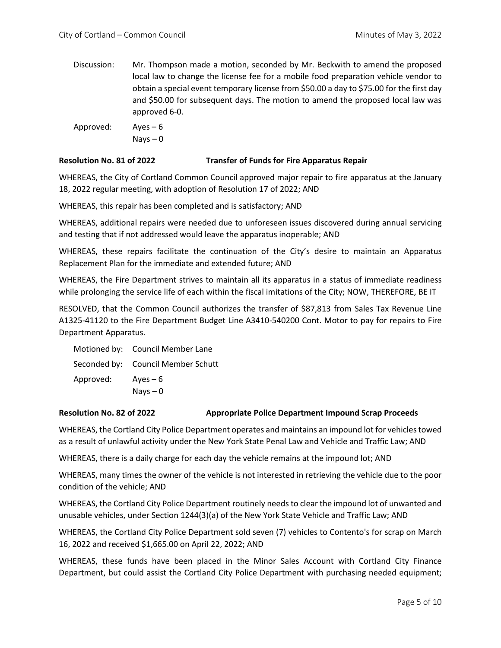Discussion: Mr. Thompson made a motion, seconded by Mr. Beckwith to amend the proposed local law to change the license fee for a mobile food preparation vehicle vendor to obtain a special event temporary license from \$50.00 a day to \$75.00 for the first day and \$50.00 for subsequent days. The motion to amend the proposed local law was approved 6-0.

Approved: Ayes – 6 Nays – 0

## **Resolution No. 81 of 2022 Transfer of Funds for Fire Apparatus Repair**

WHEREAS, the City of Cortland Common Council approved major repair to fire apparatus at the January 18, 2022 regular meeting, with adoption of Resolution 17 of 2022; AND

WHEREAS, this repair has been completed and is satisfactory; AND

WHEREAS, additional repairs were needed due to unforeseen issues discovered during annual servicing and testing that if not addressed would leave the apparatus inoperable; AND

WHEREAS, these repairs facilitate the continuation of the City's desire to maintain an Apparatus Replacement Plan for the immediate and extended future; AND

WHEREAS, the Fire Department strives to maintain all its apparatus in a status of immediate readiness while prolonging the service life of each within the fiscal imitations of the City; NOW, THEREFORE, BE IT

RESOLVED, that the Common Council authorizes the transfer of \$87,813 from Sales Tax Revenue Line A1325-41120 to the Fire Department Budget Line A3410-540200 Cont. Motor to pay for repairs to Fire Department Apparatus.

|           | Motioned by: Council Member Lane   |
|-----------|------------------------------------|
|           | Seconded by: Council Member Schutt |
| Approved: | $Aves - 6$                         |
|           | $Nays - 0$                         |

#### **Resolution No. 82 of 2022 Appropriate Police Department Impound Scrap Proceeds**

WHEREAS, the Cortland City Police Department operates and maintains an impound lot for vehicles towed as a result of unlawful activity under the New York State Penal Law and Vehicle and Traffic Law; AND

WHEREAS, there is a daily charge for each day the vehicle remains at the impound lot; AND

WHEREAS, many times the owner of the vehicle is not interested in retrieving the vehicle due to the poor condition of the vehicle; AND

WHEREAS, the Cortland City Police Department routinely needs to clear the impound lot of unwanted and unusable vehicles, under Section 1244(3)(a) of the New York State Vehicle and Traffic Law; AND

WHEREAS, the Cortland City Police Department sold seven (7) vehicles to Contento's for scrap on March 16, 2022 and received \$1,665.00 on April 22, 2022; AND

WHEREAS, these funds have been placed in the Minor Sales Account with Cortland City Finance Department, but could assist the Cortland City Police Department with purchasing needed equipment;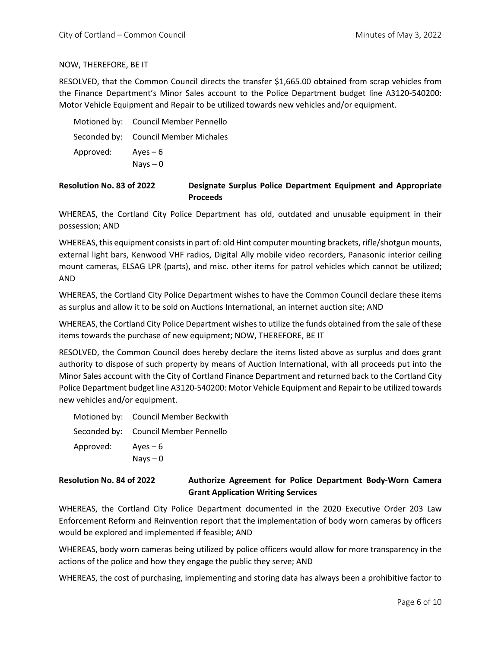## NOW, THEREFORE, BE IT

RESOLVED, that the Common Council directs the transfer \$1,665.00 obtained from scrap vehicles from the Finance Department's Minor Sales account to the Police Department budget line A3120-540200: Motor Vehicle Equipment and Repair to be utilized towards new vehicles and/or equipment.

|           | Motioned by: Council Member Pennello |
|-----------|--------------------------------------|
|           | Seconded by: Council Member Michales |
| Approved: | Ayes $-6$                            |
|           | $Nays - 0$                           |

**Resolution No. 83 of 2022 Designate Surplus Police Department Equipment and Appropriate Proceeds**

WHEREAS, the Cortland City Police Department has old, outdated and unusable equipment in their possession; AND

WHEREAS, this equipment consists in part of: old Hint computer mounting brackets, rifle/shotgun mounts, external light bars, Kenwood VHF radios, Digital Ally mobile video recorders, Panasonic interior ceiling mount cameras, ELSAG LPR (parts), and misc. other items for patrol vehicles which cannot be utilized; AND

WHEREAS, the Cortland City Police Department wishes to have the Common Council declare these items as surplus and allow it to be sold on Auctions International, an internet auction site; AND

WHEREAS, the Cortland City Police Department wishes to utilize the funds obtained from the sale of these items towards the purchase of new equipment; NOW, THEREFORE, BE IT

RESOLVED, the Common Council does hereby declare the items listed above as surplus and does grant authority to dispose of such property by means of Auction International, with all proceeds put into the Minor Sales account with the City of Cortland Finance Department and returned back to the Cortland City Police Department budget line A3120-540200: Motor Vehicle Equipment and Repair to be utilized towards new vehicles and/or equipment.

|                    | Motioned by: Council Member Beckwith |
|--------------------|--------------------------------------|
|                    | Seconded by: Council Member Pennello |
| Approved: $Ayes-6$ |                                      |
|                    | $Nays - 0$                           |

# **Resolution No. 84 of 2022 Authorize Agreement for Police Department Body-Worn Camera Grant Application Writing Services**

WHEREAS, the Cortland City Police Department documented in the 2020 Executive Order 203 Law Enforcement Reform and Reinvention report that the implementation of body worn cameras by officers would be explored and implemented if feasible; AND

WHEREAS, body worn cameras being utilized by police officers would allow for more transparency in the actions of the police and how they engage the public they serve; AND

WHEREAS, the cost of purchasing, implementing and storing data has always been a prohibitive factor to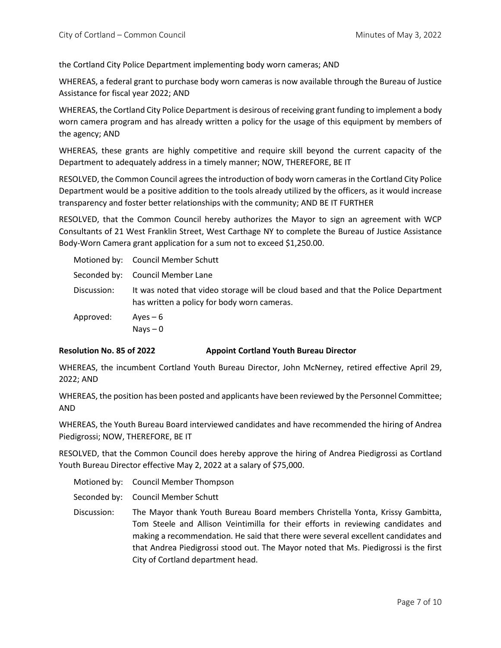the Cortland City Police Department implementing body worn cameras; AND

WHEREAS, a federal grant to purchase body worn cameras is now available through the Bureau of Justice Assistance for fiscal year 2022; AND

WHEREAS, the Cortland City Police Department is desirous of receiving grant funding to implement a body worn camera program and has already written a policy for the usage of this equipment by members of the agency; AND

WHEREAS, these grants are highly competitive and require skill beyond the current capacity of the Department to adequately address in a timely manner; NOW, THEREFORE, BE IT

RESOLVED, the Common Council agrees the introduction of body worn cameras in the Cortland City Police Department would be a positive addition to the tools already utilized by the officers, as it would increase transparency and foster better relationships with the community; AND BE IT FURTHER

RESOLVED, that the Common Council hereby authorizes the Mayor to sign an agreement with WCP Consultants of 21 West Franklin Street, West Carthage NY to complete the Bureau of Justice Assistance Body-Worn Camera grant application for a sum not to exceed \$1,250.00.

|             | Motioned by: Council Member Schutt                                                                                                |
|-------------|-----------------------------------------------------------------------------------------------------------------------------------|
|             | Seconded by: Council Member Lane                                                                                                  |
| Discussion: | It was noted that video storage will be cloud based and that the Police Department<br>has written a policy for body worn cameras. |
| Approved:   | $Aves - 6$                                                                                                                        |
|             | Nays $-0$                                                                                                                         |

### **Resolution No. 85 of 2022 Appoint Cortland Youth Bureau Director**

WHEREAS, the incumbent Cortland Youth Bureau Director, John McNerney, retired effective April 29, 2022; AND

WHEREAS, the position has been posted and applicants have been reviewed by the Personnel Committee; AND

WHEREAS, the Youth Bureau Board interviewed candidates and have recommended the hiring of Andrea Piedigrossi; NOW, THEREFORE, BE IT

RESOLVED, that the Common Council does hereby approve the hiring of Andrea Piedigrossi as Cortland Youth Bureau Director effective May 2, 2022 at a salary of \$75,000.

Motioned by: Council Member Thompson

Seconded by: Council Member Schutt

Discussion: The Mayor thank Youth Bureau Board members Christella Yonta, Krissy Gambitta, Tom Steele and Allison Veintimilla for their efforts in reviewing candidates and making a recommendation. He said that there were several excellent candidates and that Andrea Piedigrossi stood out. The Mayor noted that Ms. Piedigrossi is the first City of Cortland department head.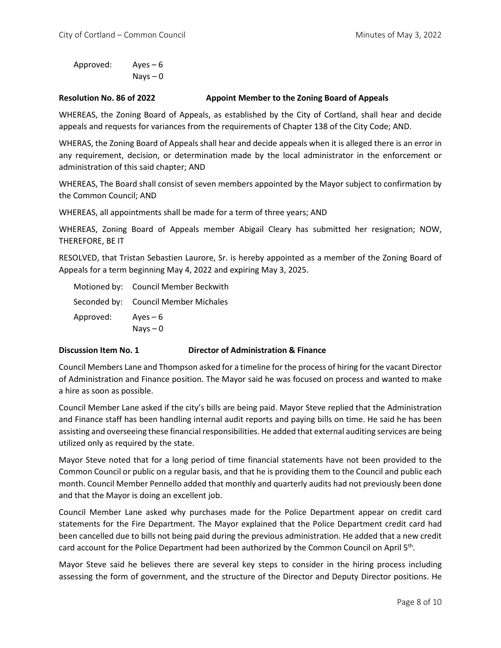Approved: Ayes – 6  $Nays - 0$ 

#### **Resolution No. 86 of 2022 Appoint Member to the Zoning Board of Appeals**

WHEREAS, the Zoning Board of Appeals, as established by the City of Cortland, shall hear and decide appeals and requests for variances from the requirements of Chapter 138 of the City Code; AND.

WHERAS, the Zoning Board of Appeals shall hear and decide appeals when it is alleged there is an error in any requirement, decision, or determination made by the local administrator in the enforcement or administration of this said chapter; AND

WHEREAS, The Board shall consist of seven members appointed by the Mayor subject to confirmation by the Common Council; AND

WHEREAS, all appointments shall be made for a term of three years; AND

WHEREAS, Zoning Board of Appeals member Abigail Cleary has submitted her resignation; NOW, THEREFORE, BE IT

RESOLVED, that Tristan Sebastien Laurore, Sr. is hereby appointed as a member of the Zoning Board of Appeals for a term beginning May 4, 2022 and expiring May 3, 2025.

|           | Motioned by: Council Member Beckwith |
|-----------|--------------------------------------|
|           | Seconded by: Council Member Michales |
| Approved: | Ayes $-6$                            |
|           | $Nays - 0$                           |

### **Discussion Item No. 1 Director of Administration & Finance**

Council Members Lane and Thompson asked for a timeline for the process of hiring for the vacant Director of Administration and Finance position. The Mayor said he was focused on process and wanted to make a hire as soon as possible.

Council Member Lane asked if the city's bills are being paid. Mayor Steve replied that the Administration and Finance staff has been handling internal audit reports and paying bills on time. He said he has been assisting and overseeing these financial responsibilities. He added that external auditing services are being utilized only as required by the state.

Mayor Steve noted that for a long period of time financial statements have not been provided to the Common Council or public on a regular basis, and that he is providing them to the Council and public each month. Council Member Pennello added that monthly and quarterly audits had not previously been done and that the Mayor is doing an excellent job.

Council Member Lane asked why purchases made for the Police Department appear on credit card statements for the Fire Department. The Mayor explained that the Police Department credit card had been cancelled due to bills not being paid during the previous administration. He added that a new credit card account for the Police Department had been authorized by the Common Council on April  $5<sup>th</sup>$ .

Mayor Steve said he believes there are several key steps to consider in the hiring process including assessing the form of government, and the structure of the Director and Deputy Director positions. He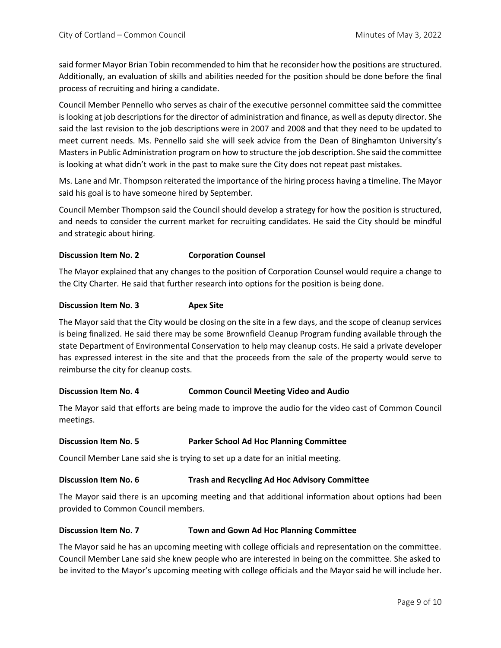said former Mayor Brian Tobin recommended to him that he reconsider how the positions are structured. Additionally, an evaluation of skills and abilities needed for the position should be done before the final process of recruiting and hiring a candidate.

Council Member Pennello who serves as chair of the executive personnel committee said the committee is looking at job descriptions for the director of administration and finance, as well as deputy director. She said the last revision to the job descriptions were in 2007 and 2008 and that they need to be updated to meet current needs. Ms. Pennello said she will seek advice from the Dean of Binghamton University's Masters in Public Administration program on how to structure the job description. She said the committee is looking at what didn't work in the past to make sure the City does not repeat past mistakes.

Ms. Lane and Mr. Thompson reiterated the importance of the hiring process having a timeline. The Mayor said his goal is to have someone hired by September.

Council Member Thompson said the Council should develop a strategy for how the position is structured, and needs to consider the current market for recruiting candidates. He said the City should be mindful and strategic about hiring.

### **Discussion Item No. 2 Corporation Counsel**

The Mayor explained that any changes to the position of Corporation Counsel would require a change to the City Charter. He said that further research into options for the position is being done.

#### **Discussion Item No. 3 Apex Site**

The Mayor said that the City would be closing on the site in a few days, and the scope of cleanup services is being finalized. He said there may be some Brownfield Cleanup Program funding available through the state Department of Environmental Conservation to help may cleanup costs. He said a private developer has expressed interest in the site and that the proceeds from the sale of the property would serve to reimburse the city for cleanup costs.

#### **Discussion Item No. 4 Common Council Meeting Video and Audio**

The Mayor said that efforts are being made to improve the audio for the video cast of Common Council meetings.

#### **Discussion Item No. 5 Parker School Ad Hoc Planning Committee**

Council Member Lane said she is trying to set up a date for an initial meeting.

#### **Discussion Item No. 6 Trash and Recycling Ad Hoc Advisory Committee**

The Mayor said there is an upcoming meeting and that additional information about options had been provided to Common Council members.

#### **Discussion Item No. 7 Town and Gown Ad Hoc Planning Committee**

The Mayor said he has an upcoming meeting with college officials and representation on the committee. Council Member Lane said she knew people who are interested in being on the committee. She asked to be invited to the Mayor's upcoming meeting with college officials and the Mayor said he will include her.